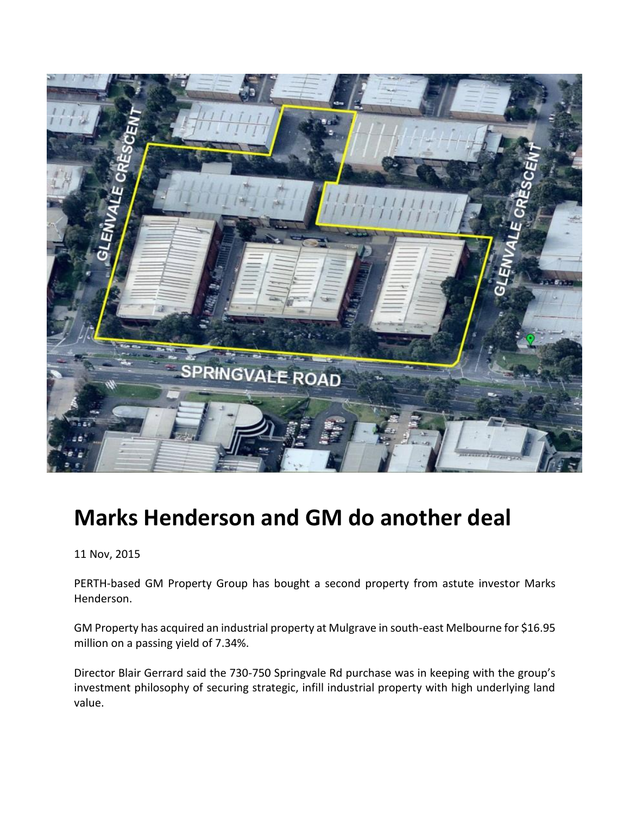

## **Marks Henderson and GM do another deal**

11 Nov, 2015

PERTH-based GM Property Group has bought a second property from astute investor Marks Henderson.

GM Property has acquired an industrial property at Mulgrave in south-east Melbourne for \$16.95 million on a passing yield of 7.34%.

Director Blair Gerrard said the 730-750 Springvale Rd purchase was in keeping with the group's investment philosophy of securing strategic, infill industrial property with high underlying land value.